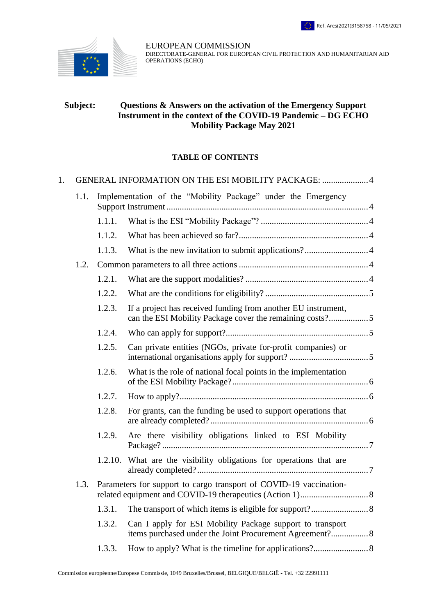

EUROPEAN COMMISSION DIRECTORATE-GENERAL FOR EUROPEAN CIVIL PROTECTION AND HUMANITARIAN AID OPERATIONS (ECHO)

#### **Subject: Questions & Answers on the activation of the Emergency Support Instrument in the context of the COVID-19 Pandemic – DG ECHO Mobility Package May 2021**

#### **TABLE OF CONTENTS**

| 1. | GENERAL INFORMATION ON THE ESI MOBILITY PACKAGE: 4 |                                                                    |                                                                                                                           |  |  |
|----|----------------------------------------------------|--------------------------------------------------------------------|---------------------------------------------------------------------------------------------------------------------------|--|--|
|    | 1.1.                                               | Implementation of the "Mobility Package" under the Emergency       |                                                                                                                           |  |  |
|    |                                                    | 1.1.1.                                                             |                                                                                                                           |  |  |
|    |                                                    | 1.1.2.                                                             |                                                                                                                           |  |  |
|    |                                                    | 1.1.3.                                                             |                                                                                                                           |  |  |
|    | 1.2.                                               |                                                                    |                                                                                                                           |  |  |
|    |                                                    | 1.2.1.                                                             |                                                                                                                           |  |  |
|    |                                                    | 1.2.2.                                                             |                                                                                                                           |  |  |
|    |                                                    | 1.2.3.                                                             | If a project has received funding from another EU instrument,<br>can the ESI Mobility Package cover the remaining costs?5 |  |  |
|    |                                                    | 1.2.4.                                                             |                                                                                                                           |  |  |
|    |                                                    | 1.2.5.                                                             | Can private entities (NGOs, private for-profit companies) or                                                              |  |  |
|    |                                                    | 1.2.6.                                                             | What is the role of national focal points in the implementation                                                           |  |  |
|    |                                                    | 1.2.7.                                                             |                                                                                                                           |  |  |
|    |                                                    | 1.2.8.                                                             | For grants, can the funding be used to support operations that                                                            |  |  |
|    |                                                    | 1.2.9.                                                             | Are there visibility obligations linked to ESI Mobility                                                                   |  |  |
|    |                                                    |                                                                    | 1.2.10. What are the visibility obligations for operations that are                                                       |  |  |
|    | 1.3.                                               | Parameters for support to cargo transport of COVID-19 vaccination- |                                                                                                                           |  |  |
|    |                                                    | 1.3.1.                                                             |                                                                                                                           |  |  |
|    |                                                    | 1.3.2.                                                             | Can I apply for ESI Mobility Package support to transport                                                                 |  |  |
|    |                                                    | 1.3.3.                                                             |                                                                                                                           |  |  |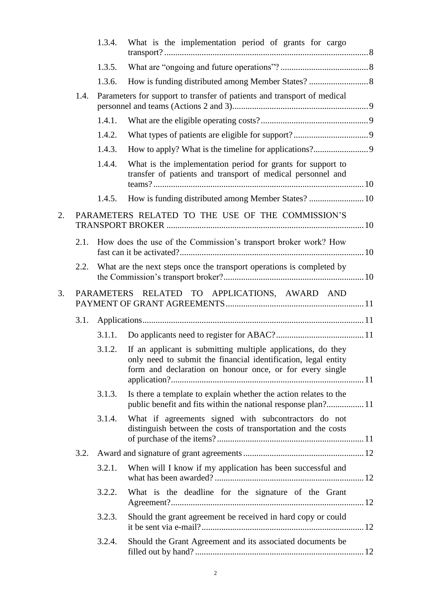|    |                                               | 1.3.4. | What is the implementation period of grants for cargo                                                                                                                                      |  |  |
|----|-----------------------------------------------|--------|--------------------------------------------------------------------------------------------------------------------------------------------------------------------------------------------|--|--|
|    |                                               | 1.3.5. |                                                                                                                                                                                            |  |  |
|    |                                               | 1.3.6. |                                                                                                                                                                                            |  |  |
|    | 1.4.                                          |        | Parameters for support to transfer of patients and transport of medical                                                                                                                    |  |  |
|    |                                               | 1.4.1. |                                                                                                                                                                                            |  |  |
|    |                                               | 1.4.2. |                                                                                                                                                                                            |  |  |
|    |                                               | 1.4.3. |                                                                                                                                                                                            |  |  |
|    |                                               | 1.4.4. | What is the implementation period for grants for support to<br>transfer of patients and transport of medical personnel and                                                                 |  |  |
|    |                                               | 1.4.5. | How is funding distributed among Member States?  10                                                                                                                                        |  |  |
| 2. |                                               |        | PARAMETERS RELATED TO THE USE OF THE COMMISSION'S                                                                                                                                          |  |  |
|    | 2.1.                                          |        | How does the use of the Commission's transport broker work? How                                                                                                                            |  |  |
|    | 2.2.                                          |        | What are the next steps once the transport operations is completed by                                                                                                                      |  |  |
| 3. | PARAMETERS RELATED TO APPLICATIONS, AWARD AND |        |                                                                                                                                                                                            |  |  |
|    | 3.1.                                          |        |                                                                                                                                                                                            |  |  |
|    |                                               | 3.1.1. |                                                                                                                                                                                            |  |  |
|    |                                               | 3.1.2. | If an applicant is submitting multiple applications, do they<br>only need to submit the financial identification, legal entity<br>form and declaration on honour once, or for every single |  |  |
|    |                                               | 3.1.3. | Is there a template to explain whether the action relates to the                                                                                                                           |  |  |
|    |                                               | 3.1.4. | What if agreements signed with subcontractors do not<br>distinguish between the costs of transportation and the costs                                                                      |  |  |
|    | 3.2.                                          |        |                                                                                                                                                                                            |  |  |
|    |                                               | 3.2.1. | When will I know if my application has been successful and                                                                                                                                 |  |  |
|    |                                               | 3.2.2. | What is the deadline for the signature of the Grant                                                                                                                                        |  |  |
|    |                                               | 3.2.3. | Should the grant agreement be received in hard copy or could                                                                                                                               |  |  |
|    |                                               | 3.2.4. | Should the Grant Agreement and its associated documents be                                                                                                                                 |  |  |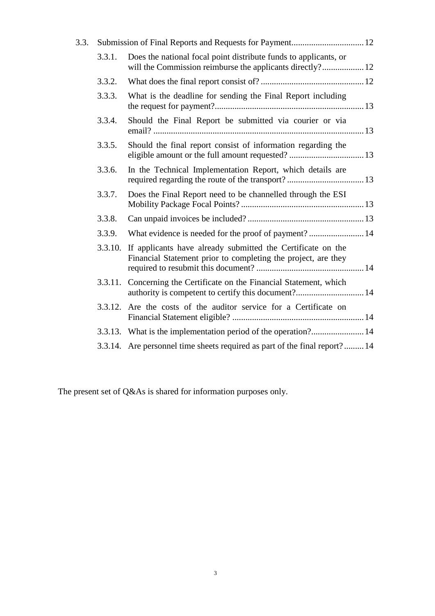| 3.3. |         |                                                                                                                               |  |
|------|---------|-------------------------------------------------------------------------------------------------------------------------------|--|
|      | 3.3.1.  | Does the national focal point distribute funds to applicants, or<br>will the Commission reimburse the applicants directly? 12 |  |
|      | 3.3.2.  |                                                                                                                               |  |
|      | 3.3.3.  | What is the deadline for sending the Final Report including                                                                   |  |
|      | 3.3.4.  | Should the Final Report be submitted via courier or via                                                                       |  |
|      | 3.3.5.  | Should the final report consist of information regarding the<br>eligible amount or the full amount requested?  13             |  |
|      | 3.3.6.  | In the Technical Implementation Report, which details are                                                                     |  |
|      | 3.3.7.  | Does the Final Report need to be channelled through the ESI                                                                   |  |
|      | 3.3.8.  |                                                                                                                               |  |
|      | 3.3.9.  | What evidence is needed for the proof of payment? 14                                                                          |  |
|      | 3.3.10. | If applicants have already submitted the Certificate on the<br>Financial Statement prior to completing the project, are they  |  |
|      |         | 3.3.11. Concerning the Certificate on the Financial Statement, which<br>authority is competent to certify this document? 14   |  |
|      | 3.3.12. | Are the costs of the auditor service for a Certificate on                                                                     |  |
|      |         | 3.3.13. What is the implementation period of the operation? 14                                                                |  |
|      |         | 3.3.14. Are personnel time sheets required as part of the final report?14                                                     |  |
|      |         |                                                                                                                               |  |

The present set of Q&As is shared for information purposes only.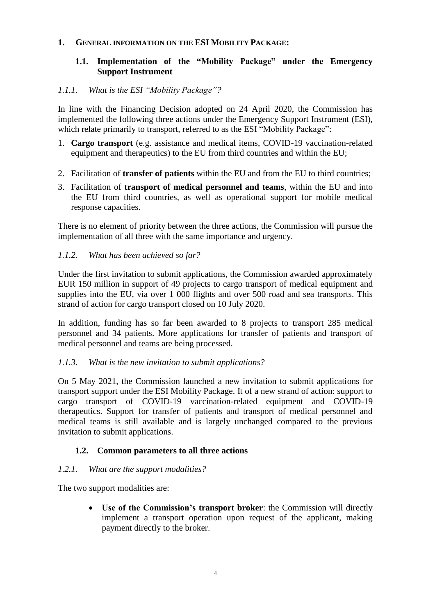### <span id="page-3-1"></span><span id="page-3-0"></span>**1. GENERAL INFORMATION ON THE ESI MOBILITY PACKAGE:**

# **1.1. Implementation of the "Mobility Package" under the Emergency Support Instrument**

### <span id="page-3-2"></span>*1.1.1. What is the ESI "Mobility Package"?*

In line with the Financing Decision adopted on 24 April 2020, the Commission has implemented the following three actions under the Emergency Support Instrument (ESI), which relate primarily to transport, referred to as the ESI "Mobility Package":

- 1. **Cargo transport** (e.g. assistance and medical items, COVID-19 vaccination-related equipment and therapeutics) to the EU from third countries and within the EU;
- 2. Facilitation of **transfer of patients** within the EU and from the EU to third countries;
- 3. Facilitation of **transport of medical personnel and teams**, within the EU and into the EU from third countries, as well as operational support for mobile medical response capacities.

There is no element of priority between the three actions, the Commission will pursue the implementation of all three with the same importance and urgency.

#### <span id="page-3-3"></span>*1.1.2. What has been achieved so far?*

Under the first invitation to submit applications, the Commission awarded approximately EUR 150 million in support of 49 projects to cargo transport of medical equipment and supplies into the EU, via over 1 000 flights and over 500 road and sea transports. This strand of action for cargo transport closed on 10 July 2020.

In addition, funding has so far been awarded to 8 projects to transport 285 medical personnel and 34 patients. More applications for transfer of patients and transport of medical personnel and teams are being processed.

#### <span id="page-3-4"></span>*1.1.3. What is the new invitation to submit applications?*

On 5 May 2021, the Commission launched a new invitation to submit applications for transport support under the ESI Mobility Package. It of a new strand of action: support to cargo transport of COVID-19 vaccination-related equipment and COVID-19 therapeutics. Support for transfer of patients and transport of medical personnel and medical teams is still available and is largely unchanged compared to the previous invitation to submit applications.

## <span id="page-3-5"></span>**1.2. Common parameters to all three actions**

## <span id="page-3-6"></span>*1.2.1. What are the support modalities?*

The two support modalities are:

 **Use of the Commission's transport broker**: the Commission will directly implement a transport operation upon request of the applicant, making payment directly to the broker.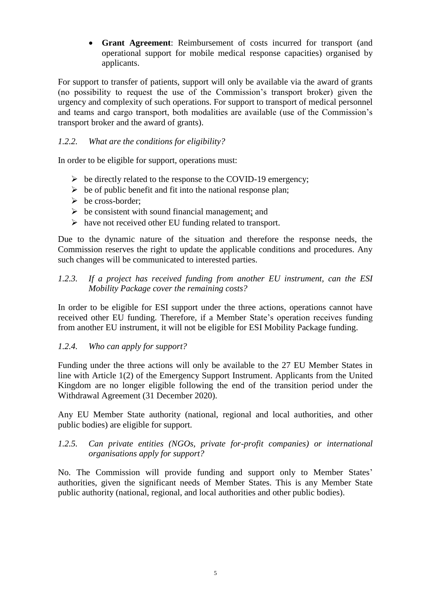**Grant Agreement**: Reimbursement of costs incurred for transport (and operational support for mobile medical response capacities) organised by applicants.

For support to transfer of patients, support will only be available via the award of grants (no possibility to request the use of the Commission's transport broker) given the urgency and complexity of such operations. For support to transport of medical personnel and teams and cargo transport, both modalities are available (use of the Commission's transport broker and the award of grants).

# <span id="page-4-0"></span>*1.2.2. What are the conditions for eligibility?*

In order to be eligible for support, operations must:

- $\triangleright$  be directly related to the response to the COVID-19 emergency;
- $\triangleright$  be of public benefit and fit into the national response plan;
- $\triangleright$  be cross-border;
- $\triangleright$  be consistent with sound financial management; and
- $\triangleright$  have not received other EU funding related to transport.

Due to the dynamic nature of the situation and therefore the response needs, the Commission reserves the right to update the applicable conditions and procedures. Any such changes will be communicated to interested parties.

#### <span id="page-4-1"></span>*1.2.3. If a project has received funding from another EU instrument, can the ESI Mobility Package cover the remaining costs?*

In order to be eligible for ESI support under the three actions, operations cannot have received other EU funding. Therefore, if a Member State's operation receives funding from another EU instrument, it will not be eligible for ESI Mobility Package funding.

## <span id="page-4-2"></span>*1.2.4. Who can apply for support?*

Funding under the three actions will only be available to the 27 EU Member States in line with Article 1(2) of the Emergency Support Instrument. Applicants from the United Kingdom are no longer eligible following the end of the transition period under the Withdrawal Agreement (31 December 2020).

Any EU Member State authority (national, regional and local authorities, and other public bodies) are eligible for support.

#### <span id="page-4-3"></span>*1.2.5. Can private entities (NGOs, private for-profit companies) or international organisations apply for support?*

No. The Commission will provide funding and support only to Member States' authorities, given the significant needs of Member States. This is any Member State public authority (national, regional, and local authorities and other public bodies).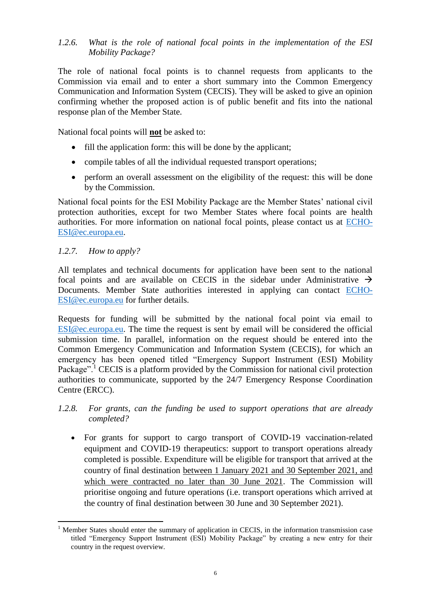# <span id="page-5-0"></span>*1.2.6. What is the role of national focal points in the implementation of the ESI Mobility Package?*

The role of national focal points is to channel requests from applicants to the Commission via email and to enter a short summary into the Common Emergency Communication and Information System (CECIS). They will be asked to give an opinion confirming whether the proposed action is of public benefit and fits into the national response plan of the Member State.

National focal points will **not** be asked to:

- fill the application form: this will be done by the applicant;
- compile tables of all the individual requested transport operations;
- perform an overall assessment on the eligibility of the request: this will be done by the Commission.

National focal points for the ESI Mobility Package are the Member States' national civil protection authorities, except for two Member States where focal points are health authorities. For more information on national focal points, please contact us at [ECHO-](mailto:ECHO-ESI@ec.europa.eu)[ESI@ec.europa.eu.](mailto:ECHO-ESI@ec.europa.eu)

## <span id="page-5-1"></span>*1.2.7. How to apply?*

 $\overline{a}$ 

All templates and technical documents for application have been sent to the national focal points and are available on CECIS in the sidebar under Administrative  $\rightarrow$ Documents. Member State authorities interested in applying can contact [ECHO-](mailto:ECHO-ESI@ec.europa.eu)[ESI@ec.europa.eu](mailto:ECHO-ESI@ec.europa.eu) for further details.

Requests for funding will be submitted by the national focal point via email to [ESI@ec.europa.eu.](mailto:ESI@ec.europa.eu) The time the request is sent by email will be considered the official submission time. In parallel, information on the request should be entered into the Common Emergency Communication and Information System (CECIS), for which an emergency has been opened titled "Emergency Support Instrument (ESI) Mobility Package".<sup>1</sup> CECIS is a platform provided by the Commission for national civil protection authorities to communicate, supported by the 24/7 Emergency Response Coordination Centre (ERCC).

<span id="page-5-2"></span>*1.2.8. For grants, can the funding be used to support operations that are already completed?* 

• For grants for support to cargo transport of COVID-19 vaccination-related equipment and COVID-19 therapeutics: support to transport operations already completed is possible. Expenditure will be eligible for transport that arrived at the country of final destination between 1 January 2021 and 30 September 2021, and which were contracted no later than 30 June 2021. The Commission will prioritise ongoing and future operations (i.e. transport operations which arrived at the country of final destination between 30 June and 30 September 2021).

 $<sup>1</sup>$  Member States should enter the summary of application in CECIS, in the information transmission case</sup> titled "Emergency Support Instrument (ESI) Mobility Package" by creating a new entry for their country in the request overview.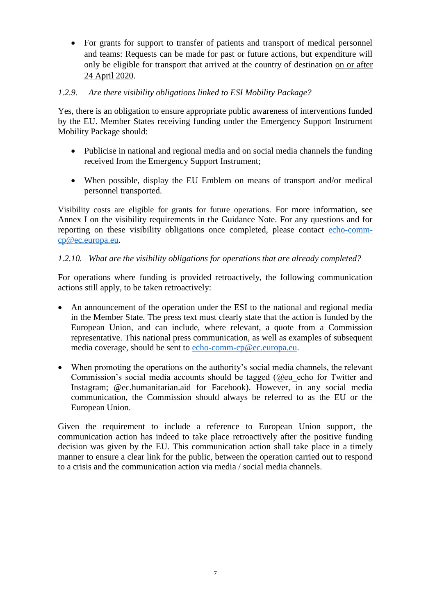For grants for support to transfer of patients and transport of medical personnel and teams: Requests can be made for past or future actions, but expenditure will only be eligible for transport that arrived at the country of destination on or after 24 April 2020.

# <span id="page-6-0"></span>*1.2.9. Are there visibility obligations linked to ESI Mobility Package?*

Yes, there is an obligation to ensure appropriate public awareness of interventions funded by the EU. Member States receiving funding under the Emergency Support Instrument Mobility Package should:

- Publicise in national and regional media and on social media channels the funding received from the Emergency Support Instrument;
- When possible, display the EU Emblem on means of transport and/or medical personnel transported.

Visibility costs are eligible for grants for future operations. For more information, see Annex I on the visibility requirements in the Guidance Note. For any questions and for reporting on these visibility obligations once completed, please contact [echo-comm](mailto:echo-comm-cp@ec.europa.eu)[cp@ec.europa.eu.](mailto:echo-comm-cp@ec.europa.eu)

## <span id="page-6-1"></span>*1.2.10. What are the visibility obligations for operations that are already completed?*

For operations where funding is provided retroactively, the following communication actions still apply, to be taken retroactively:

- An announcement of the operation under the ESI to the national and regional media in the Member State. The press text must clearly state that the action is funded by the European Union, and can include, where relevant, a quote from a Commission representative. This national press communication, as well as examples of subsequent media coverage, should be sent to [echo-comm-cp@ec.europa.eu.](mailto:echo-comm-cp@ec.europa.eu)
- When promoting the operations on the authority's social media channels, the relevant Commission's social media accounts should be tagged (@eu\_echo for Twitter and Instagram; @ec.humanitarian.aid for Facebook). However, in any social media communication, the Commission should always be referred to as the EU or the European Union.

Given the requirement to include a reference to European Union support, the communication action has indeed to take place retroactively after the positive funding decision was given by the EU. This communication action shall take place in a timely manner to ensure a clear link for the public, between the operation carried out to respond to a crisis and the communication action via media / social media channels.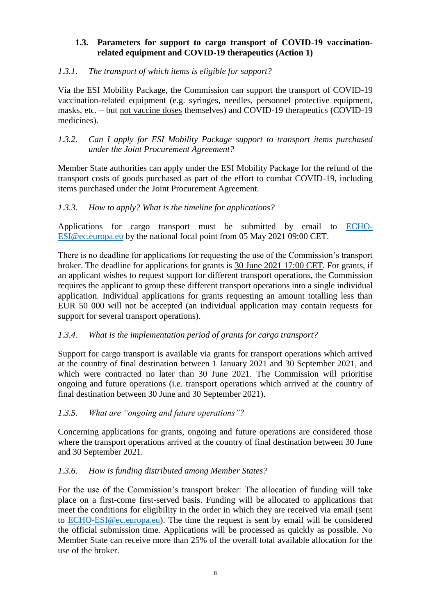#### <span id="page-7-0"></span>**1.3. Parameters for support to cargo transport of COVID-19 vaccinationrelated equipment and COVID-19 therapeutics (Action 1)**

## <span id="page-7-1"></span>*1.3.1. The transport of which items is eligible for support?*

Via the ESI Mobility Package, the Commission can support the transport of COVID-19 vaccination-related equipment (e.g. syringes, needles, personnel protective equipment, masks, etc. – but not vaccine doses themselves) and COVID-19 therapeutics (COVID-19 medicines).

### <span id="page-7-2"></span>*1.3.2. Can I apply for ESI Mobility Package support to transport items purchased under the Joint Procurement Agreement?*

Member State authorities can apply under the ESI Mobility Package for the refund of the transport costs of goods purchased as part of the effort to combat COVID-19, including items purchased under the Joint Procurement Agreement.

## <span id="page-7-3"></span>*1.3.3. How to apply? What is the timeline for applications?*

Applications for cargo transport must be submitted by email to [ECHO-](mailto:ECHO-ESI@ec.europa.eu)[ESI@ec.europa.eu](mailto:ECHO-ESI@ec.europa.eu) by the national focal point from 05 May 2021 09:00 CET.

There is no deadline for applications for requesting the use of the Commission's transport broker. The deadline for applications for grants is 30 June 2021 17:00 CET. For grants, if an applicant wishes to request support for different transport operations, the Commission requires the applicant to group these different transport operations into a single individual application. Individual applications for grants requesting an amount totalling less than EUR 50 000 will not be accepted (an individual application may contain requests for support for several transport operations).

## <span id="page-7-4"></span>*1.3.4. What is the implementation period of grants for cargo transport?*

Support for cargo transport is available via grants for transport operations which arrived at the country of final destination between 1 January 2021 and 30 September 2021, and which were contracted no later than 30 June 2021. The Commission will prioritise ongoing and future operations (i.e. transport operations which arrived at the country of final destination between 30 June and 30 September 2021).

## <span id="page-7-5"></span>*1.3.5. What are "ongoing and future operations"?*

Concerning applications for grants, ongoing and future operations are considered those where the transport operations arrived at the country of final destination between 30 June and 30 September 2021.

## <span id="page-7-6"></span>*1.3.6. How is funding distributed among Member States?*

For the use of the Commission's transport broker: The allocation of funding will take place on a first-come first-served basis. Funding will be allocated to applications that meet the conditions for eligibility in the order in which they are received via email (sent to [ECHO-ESI@ec.europa.eu\)](mailto:ECHO-ESI@ec.europa.eu). The time the request is sent by email will be considered the official submission time. Applications will be processed as quickly as possible. No Member State can receive more than 25% of the overall total available allocation for the use of the broker.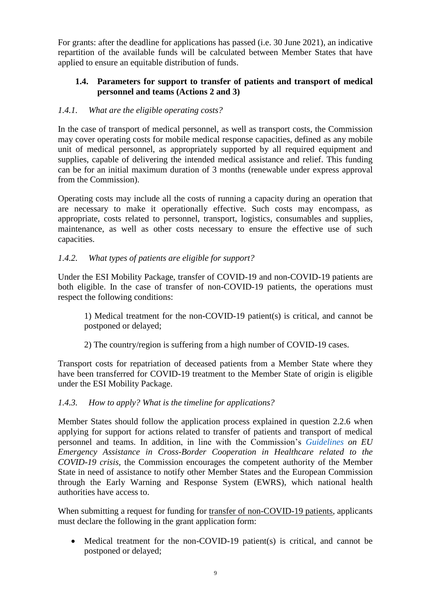For grants: after the deadline for applications has passed (i.e. 30 June 2021), an indicative repartition of the available funds will be calculated between Member States that have applied to ensure an equitable distribution of funds.

### <span id="page-8-0"></span>**1.4. Parameters for support to transfer of patients and transport of medical personnel and teams (Actions 2 and 3)**

### <span id="page-8-1"></span>*1.4.1. What are the eligible operating costs?*

In the case of transport of medical personnel, as well as transport costs, the Commission may cover operating costs for mobile medical response capacities, defined as any mobile unit of medical personnel, as appropriately supported by all required equipment and supplies, capable of delivering the intended medical assistance and relief. This funding can be for an initial maximum duration of 3 months (renewable under express approval from the Commission).

Operating costs may include all the costs of running a capacity during an operation that are necessary to make it operationally effective. Such costs may encompass, as appropriate, costs related to personnel, transport, logistics, consumables and supplies, maintenance, as well as other costs necessary to ensure the effective use of such capacities.

#### <span id="page-8-2"></span>*1.4.2. What types of patients are eligible for support?*

Under the ESI Mobility Package, transfer of COVID-19 and non-COVID-19 patients are both eligible. In the case of transfer of non-COVID-19 patients, the operations must respect the following conditions:

1) Medical treatment for the non-COVID-19 patient(s) is critical, and cannot be postponed or delayed;

2) The country/region is suffering from a high number of COVID-19 cases.

Transport costs for repatriation of deceased patients from a Member State where they have been transferred for COVID-19 treatment to the Member State of origin is eligible under the ESI Mobility Package.

#### <span id="page-8-3"></span>*1.4.3. How to apply? What is the timeline for applications?*

Member States should follow the application process explained in question 2.2.6 when applying for support for actions related to transfer of patients and transport of medical personnel and teams. In addition, in line with the Commission's *[Guidelines](https://ec.europa.eu/info/sites/info/files/guidelines_on_eu_emergency_assistance_in_cross-bordercooperationin_heathcare_related_to_the_covid-19_crisis.pdf) on EU Emergency Assistance in Cross-Border Cooperation in Healthcare related to the COVID-19 crisis*, the Commission encourages the competent authority of the Member State in need of assistance to notify other Member States and the European Commission through the Early Warning and Response System (EWRS), which national health authorities have access to.

When submitting a request for funding for transfer of non-COVID-19 patients, applicants must declare the following in the grant application form:

• Medical treatment for the non-COVID-19 patient(s) is critical, and cannot be postponed or delayed;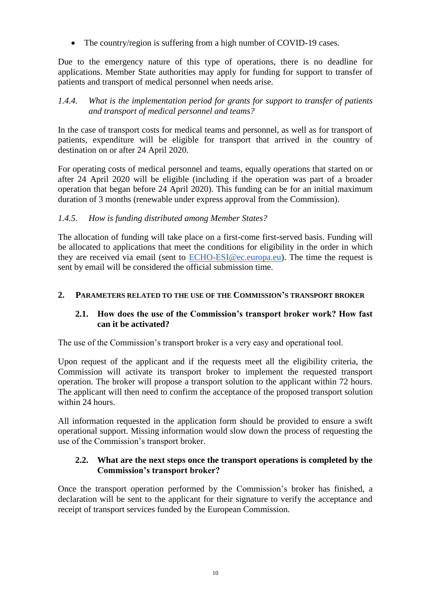• The country/region is suffering from a high number of COVID-19 cases.

Due to the emergency nature of this type of operations, there is no deadline for applications. Member State authorities may apply for funding for support to transfer of patients and transport of medical personnel when needs arise.

## <span id="page-9-0"></span>*1.4.4. What is the implementation period for grants for support to transfer of patients and transport of medical personnel and teams?*

In the case of transport costs for medical teams and personnel, as well as for transport of patients, expenditure will be eligible for transport that arrived in the country of destination on or after 24 April 2020.

For operating costs of medical personnel and teams, equally operations that started on or after 24 April 2020 will be eligible (including if the operation was part of a broader operation that began before 24 April 2020). This funding can be for an initial maximum duration of 3 months (renewable under express approval from the Commission).

# <span id="page-9-1"></span>*1.4.5. How is funding distributed among Member States?*

The allocation of funding will take place on a first-come first-served basis. Funding will be allocated to applications that meet the conditions for eligibility in the order in which they are received via email (sent to [ECHO-ESI@ec.europa.eu\)](mailto:ECHO-ESI@ec.europa.eu). The time the request is sent by email will be considered the official submission time.

## <span id="page-9-2"></span>**2. PARAMETERS RELATED TO THE USE OF THE COMMISSION'S TRANSPORT BROKER**

#### <span id="page-9-3"></span>**2.1. How does the use of the Commission's transport broker work? How fast can it be activated?**

The use of the Commission's transport broker is a very easy and operational tool.

Upon request of the applicant and if the requests meet all the eligibility criteria, the Commission will activate its transport broker to implement the requested transport operation. The broker will propose a transport solution to the applicant within 72 hours. The applicant will then need to confirm the acceptance of the proposed transport solution within 24 hours.

All information requested in the application form should be provided to ensure a swift operational support. Missing information would slow down the process of requesting the use of the Commission's transport broker.

### <span id="page-9-4"></span>**2.2. What are the next steps once the transport operations is completed by the Commission's transport broker?**

Once the transport operation performed by the Commission's broker has finished, a declaration will be sent to the applicant for their signature to verify the acceptance and receipt of transport services funded by the European Commission.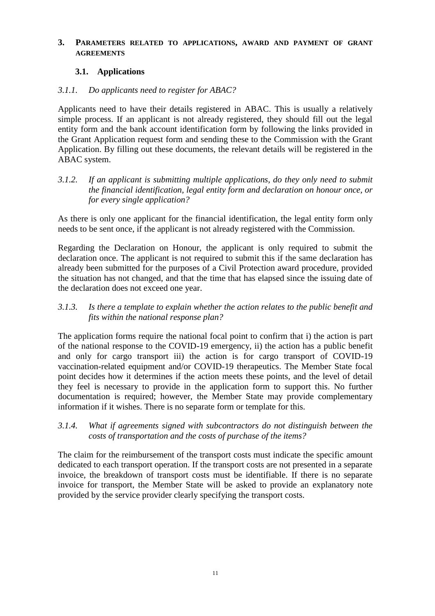#### <span id="page-10-0"></span>**3. PARAMETERS RELATED TO APPLICATIONS, AWARD AND PAYMENT OF GRANT AGREEMENTS**

### <span id="page-10-1"></span>**3.1. Applications**

#### <span id="page-10-2"></span>*3.1.1. Do applicants need to register for ABAC?*

Applicants need to have their details registered in ABAC. This is usually a relatively simple process. If an applicant is not already registered, they should fill out the legal entity form and the bank account identification form by following the links provided in the Grant Application request form and sending these to the Commission with the Grant Application. By filling out these documents, the relevant details will be registered in the ABAC system.

<span id="page-10-3"></span>*3.1.2. If an applicant is submitting multiple applications, do they only need to submit the financial identification, legal entity form and declaration on honour once, or for every single application?*

As there is only one applicant for the financial identification, the legal entity form only needs to be sent once, if the applicant is not already registered with the Commission.

Regarding the Declaration on Honour, the applicant is only required to submit the declaration once. The applicant is not required to submit this if the same declaration has already been submitted for the purposes of a Civil Protection award procedure, provided the situation has not changed, and that the time that has elapsed since the issuing date of the declaration does not exceed one year.

<span id="page-10-4"></span>*3.1.3. Is there a template to explain whether the action relates to the public benefit and fits within the national response plan?*

The application forms require the national focal point to confirm that i) the action is part of the national response to the COVID-19 emergency, ii) the action has a public benefit and only for cargo transport iii) the action is for cargo transport of COVID-19 vaccination-related equipment and/or COVID-19 therapeutics. The Member State focal point decides how it determines if the action meets these points, and the level of detail they feel is necessary to provide in the application form to support this. No further documentation is required; however, the Member State may provide complementary information if it wishes. There is no separate form or template for this.

<span id="page-10-5"></span>*3.1.4. What if agreements signed with subcontractors do not distinguish between the costs of transportation and the costs of purchase of the items?*

The claim for the reimbursement of the transport costs must indicate the specific amount dedicated to each transport operation. If the transport costs are not presented in a separate invoice, the breakdown of transport costs must be identifiable. If there is no separate invoice for transport, the Member State will be asked to provide an explanatory note provided by the service provider clearly specifying the transport costs.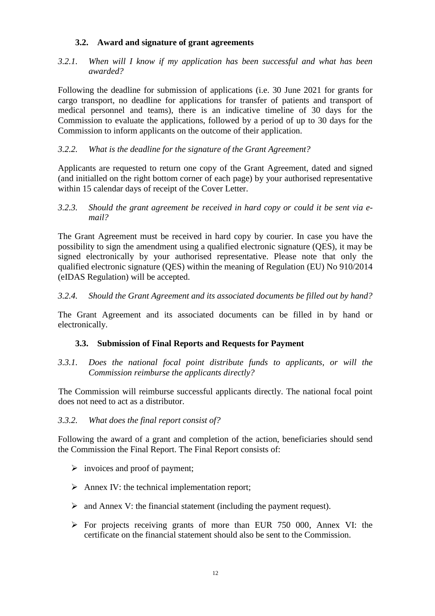# **3.2. Award and signature of grant agreements**

<span id="page-11-1"></span><span id="page-11-0"></span>*3.2.1. When will I know if my application has been successful and what has been awarded?* 

Following the deadline for submission of applications (i.e. 30 June 2021 for grants for cargo transport, no deadline for applications for transfer of patients and transport of medical personnel and teams), there is an indicative timeline of 30 days for the Commission to evaluate the applications, followed by a period of up to 30 days for the Commission to inform applicants on the outcome of their application.

# <span id="page-11-2"></span>*3.2.2. What is the deadline for the signature of the Grant Agreement?*

Applicants are requested to return one copy of the Grant Agreement, dated and signed (and initialled on the right bottom corner of each page) by your authorised representative within 15 calendar days of receipt of the Cover Letter.

<span id="page-11-3"></span>*3.2.3. Should the grant agreement be received in hard copy or could it be sent via email?* 

The Grant Agreement must be received in hard copy by courier. In case you have the possibility to sign the amendment using a qualified electronic signature (QES), it may be signed electronically by your authorised representative. Please note that only the qualified electronic signature (QES) within the meaning of Regulation (EU) No 910/2014 (eIDAS Regulation) will be accepted.

<span id="page-11-4"></span>*3.2.4. Should the Grant Agreement and its associated documents be filled out by hand?*

The Grant Agreement and its associated documents can be filled in by hand or electronically.

## <span id="page-11-5"></span>**3.3. Submission of Final Reports and Requests for Payment**

<span id="page-11-6"></span>*3.3.1. Does the national focal point distribute funds to applicants, or will the Commission reimburse the applicants directly?* 

The Commission will reimburse successful applicants directly. The national focal point does not need to act as a distributor.

#### <span id="page-11-7"></span>*3.3.2. What does the final report consist of?*

Following the award of a grant and completion of the action, beneficiaries should send the Commission the Final Report. The Final Report consists of:

- $\triangleright$  invoices and proof of payment;
- $\triangleright$  Annex IV: the technical implementation report:
- $\triangleright$  and Annex V: the financial statement (including the payment request).
- For projects receiving grants of more than EUR 750 000, Annex VI: the certificate on the financial statement should also be sent to the Commission.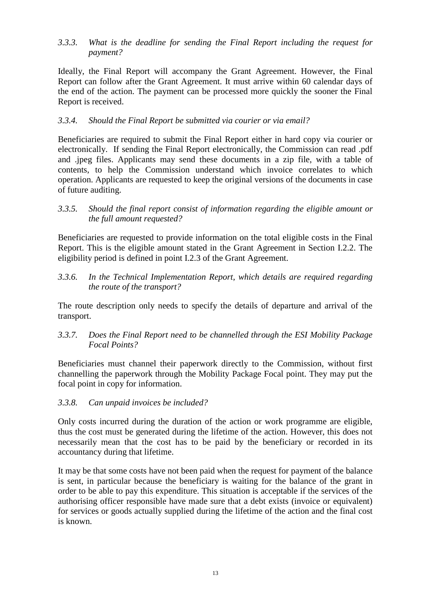# <span id="page-12-0"></span>*3.3.3. What is the deadline for sending the Final Report including the request for payment?*

Ideally, the Final Report will accompany the Grant Agreement. However, the Final Report can follow after the Grant Agreement. It must arrive within 60 calendar days of the end of the action. The payment can be processed more quickly the sooner the Final Report is received.

# <span id="page-12-1"></span>*3.3.4. Should the Final Report be submitted via courier or via email?*

Beneficiaries are required to submit the Final Report either in hard copy via courier or electronically. If sending the Final Report electronically, the Commission can read .pdf and .jpeg files. Applicants may send these documents in a zip file, with a table of contents, to help the Commission understand which invoice correlates to which operation. Applicants are requested to keep the original versions of the documents in case of future auditing.

### <span id="page-12-2"></span>*3.3.5. Should the final report consist of information regarding the eligible amount or the full amount requested?*

Beneficiaries are requested to provide information on the total eligible costs in the Final Report. This is the eligible amount stated in the Grant Agreement in Section I.2.2. The eligibility period is defined in point I.2.3 of the Grant Agreement.

<span id="page-12-3"></span>*3.3.6. In the Technical Implementation Report, which details are required regarding the route of the transport?*

The route description only needs to specify the details of departure and arrival of the transport.

<span id="page-12-4"></span>*3.3.7. Does the Final Report need to be channelled through the ESI Mobility Package Focal Points?*

Beneficiaries must channel their paperwork directly to the Commission, without first channelling the paperwork through the Mobility Package Focal point. They may put the focal point in copy for information.

## <span id="page-12-5"></span>*3.3.8. Can unpaid invoices be included?*

Only costs incurred during the duration of the action or work programme are eligible, thus the cost must be generated during the lifetime of the action. However, this does not necessarily mean that the cost has to be paid by the beneficiary or recorded in its accountancy during that lifetime.

It may be that some costs have not been paid when the request for payment of the balance is sent, in particular because the beneficiary is waiting for the balance of the grant in order to be able to pay this expenditure. This situation is acceptable if the services of the authorising officer responsible have made sure that a debt exists (invoice or equivalent) for services or goods actually supplied during the lifetime of the action and the final cost is known.